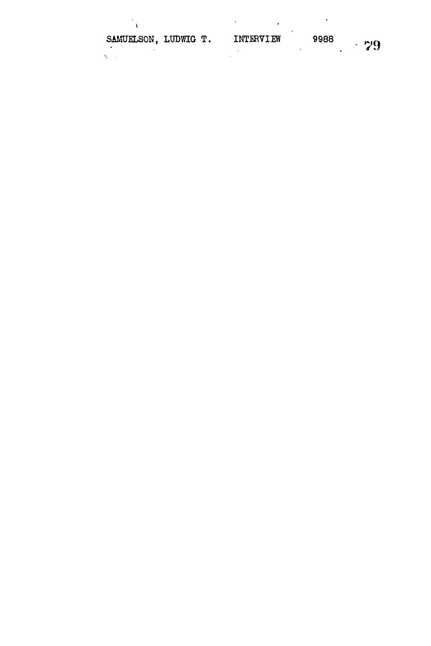| SAMUELSON, LUDWIG T. |  | INTERVIEW | 9988 | $\cdot$ 79 |
|----------------------|--|-----------|------|------------|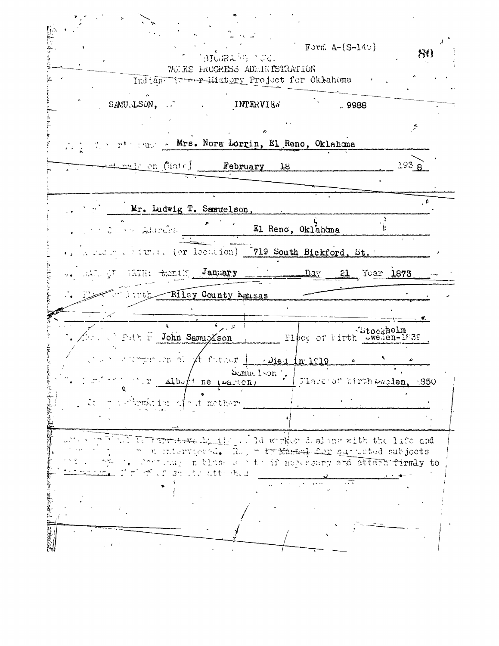Frank Company of the Company of the Company of the Company of Form  $A-(S-14)$  $\mathcal{H}$ BIOGRA<sup>6</sup>G (UG). WOUKS HROCKESS ADMINISTRATION Indian Turer-History Project for Oklahoma SAMULLSON, INTERVIEW  $.9988$ 高好  $\tilde{\mathcal{L}}$ r' Fund - Mrs. Nora Lorrin, El Reno, Oklahoma  $\mathbb{R}^2$ February  $193B$  $\texttt{max}$  on (date)  $18$ é Mr. Ludwig T. Samuelson El Reno, Oklahama  $\mathsf{b}$ on Adorelett Crime. (or location) 719 South Bickford, St. of the collection LATH: Ranth January Day 21 Year 1873 Kiley County Assas truh. **Allen**  $L_{\rm{max}}$ Flace of Firth Weden-1839 Futh F John Samuxson mpit ion al At futuer |  $\therefore$  Died  $\ln 1019$  . Samuelson'. albett ne varion, Tlace of birth waiden, 1850 brunktion of a stomether Furnive half of ld wirker doaling with the life and n interviered. Ro, m trimmed for sur weted subjects forting in them as their necesary and attach firmly to 面 con an ite attended 医紫外的 计定位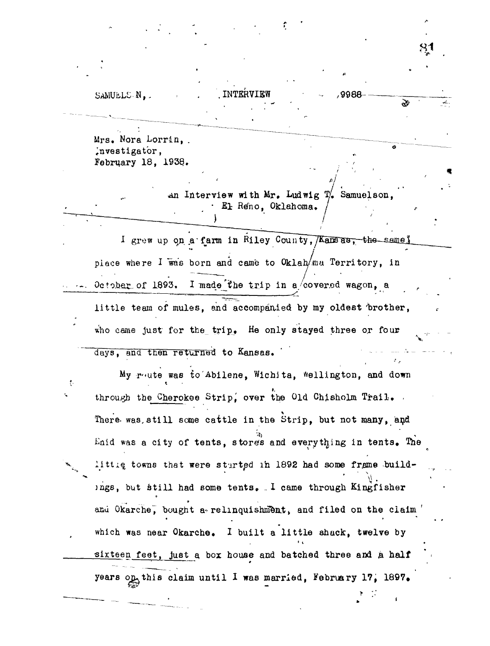## SAMUELS N.

Mrs. Nora Lorrin, . investigator, February 18, 1938..

> An Interview with  $Mr_{\bullet}$  Ludwig  $T_{\bullet}'$  Samuelson, • El Reno, Oklahoma,

INTERVIEW 49988

**S1**

È

I grew up on a farm in Riley County, Kansas, the same piace where  $I$  was born and came to  $Ok$ lah/ma Territory, in October of 1893. I made the trip in a/covered wagon, a little team of mules, and accompanied by my oldest brother, who came just for the  $trip_{\bullet}$  He only stayed three or four days, and then returned to Kansas.

My route was to Abilene, Wichita, Wellington, and down  $\ddot{\psi}$ through the Cherokee Strip, over the Old Chisholm Trail. There was, still some cattle in the Strip, but not many, and Enid was a city of tents, stores and everything in tents. The littig towns that were started in 1892 had some frame buildings, but still had some tents. I came through Kingfisher and Okarche, bought a relinquishment, and filed on the claim which was near Okarche. I built a little shack, twelve by sixteen feet, just a box house and batched three and a half .sixteen feet, just a, box house and batched three and a **half** years on this claim until I was married, February 17, 1897.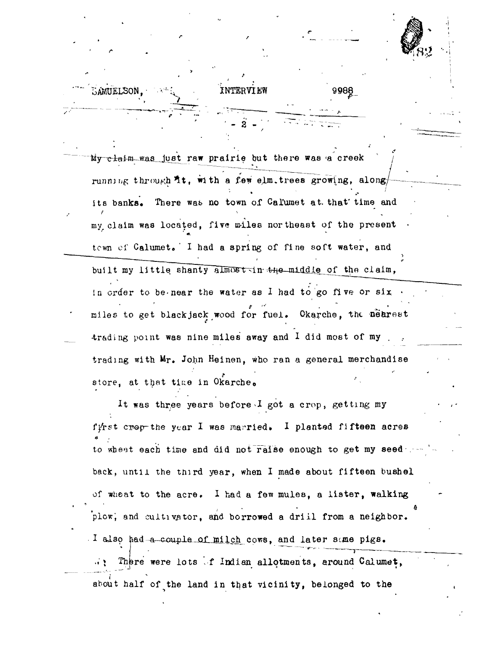My claim was just raw prairie but there was a creek running through it, with a few elm.trees growing, along  $\bullet$  . The second contract of the second contract of the second contract of the second contract of the second contract of the second contract of the second contract of the second contract of the second contract of the sec its banks. There was no town of Calumet at that time and my claim was located, five miles northeast of the present town of Calumet. I had a spring of fine soft water, and built my little shanty almost in  $+n$ e-middle of the claim, in order to be-near the water as I had to go five or six *t ••> . ^* . miles to get blackjack wood for fuel. Okarche, the nearest  **\* ,** trading point was nine miles away and I did most of my trading with Mr. John Heinen, who ran a general merchandise store, at that time in Okarche.

**c \***

SAMUELSON,

INTERVIEW 998

It was three years before  $I$  got a crop, getting my f $\sqrt{r}$ st crop-the year I was married. I planted fifteen acres to wheat each time and did not raise enough to get my seed back, until the third year, when I made about fifteen bushel of wheat to the acre. I had a few mules, a lister, walking plow, and cultivator, and borrowed a drill from a neighbor. I also had-a-couple of milch cows, and later same pigs. *., \* Thpre were lots ,f Indian allotments, around Calumet, about half of the land in that vicinity, belonged to the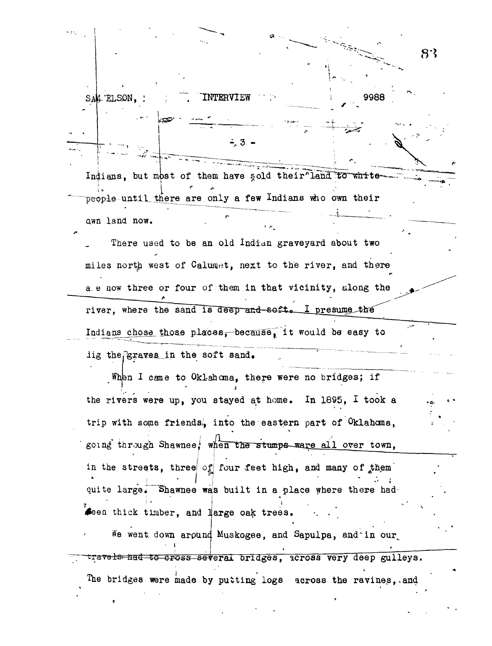$8.3$ SAM ELSON. INTERVIEW 9988 Indians, but most of them have sold their land to whitepeople-until there are only a few Indians who own their awn land now. There used to be an old Indian graveyard about two miles north west of Calumet, next to the river, and there a.e now three or four of them in that vicinity, along the river, where the sand is deep and soft. I presume the Indians chose those places, because, it would be easy to lig the graves in the soft sand. When I came to Oklahoma, there were no bridges; if the rivers were up, you stayed at home. In 1895, I took a trip with some friends, into the eastern part of Oklahoma, going through Shawnee, when the stumps ware all over town, in the streets, three of four feet high, and many of them quite large. Shawnee was built in a place where there had Seen thick timber, and large oak trees. We went down around Muskogee, and Sapulpa, and in our travels had to cross several bridges, across very deep gulleys. The bridges were made by putting logs across the ravines, and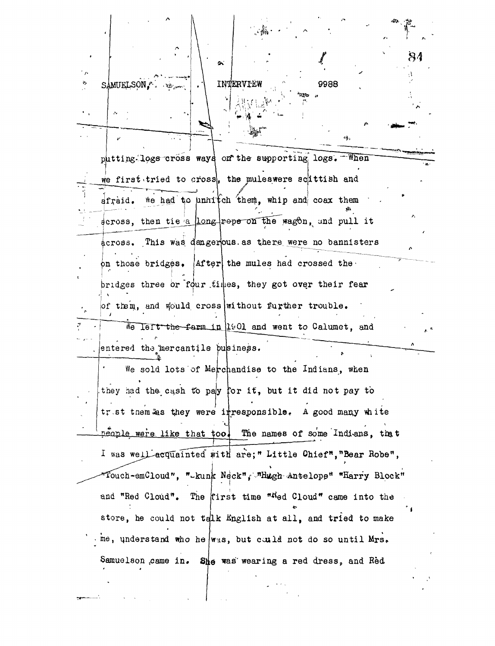| $\mathbb{R}^n$ .                                                  |
|-------------------------------------------------------------------|
| 84<br>$\sim$                                                      |
| $\cdot$ $\cdot$<br>INTERVIEW<br>r<br>9988<br>SAMUELSON, Premier   |
|                                                                   |
| 43,                                                               |
| putting logs cross ways on the supporting logs. When              |
| we first tried to cross, the muleswere scittish and               |
| afraid. We had to unnitch them, whip and coax them                |
| across, then tie a long repe on the wagon, and pull it            |
| across. This was dangerous as there were no bannisters            |
| on those bridges. After the mules had crossed the                 |
| bridges three or four times, they got over their fear             |
| of them, and would cross without further trouble.                 |
| We left the farm in 1901 and went to Calumet, and                 |
| entered the mercantile business.                                  |
| We sold lots of Merchandise to the Indians, when                  |
| they had the cash to pay for it, but it did not pay to            |
| tret them as they were itresponsible. A good many white           |
| people were like that too. The names of some Indians, that        |
| I was well acquainted with are;" Little Chief", "Bear Robe",      |
| Touch-emCloud", "-kunk Neck", "Hugh Antelope" "Harry Block"       |
| and "Red Cloud". The first time "Wed Cloud" came into the         |
| store, he could not talk English at all, and tried to make        |
| $\cdot$ me, understand who he was, but cuild not do so until Mrs. |
| Samuelson came in. She was wearing a red dress, and Red           |
|                                                                   |
|                                                                   |